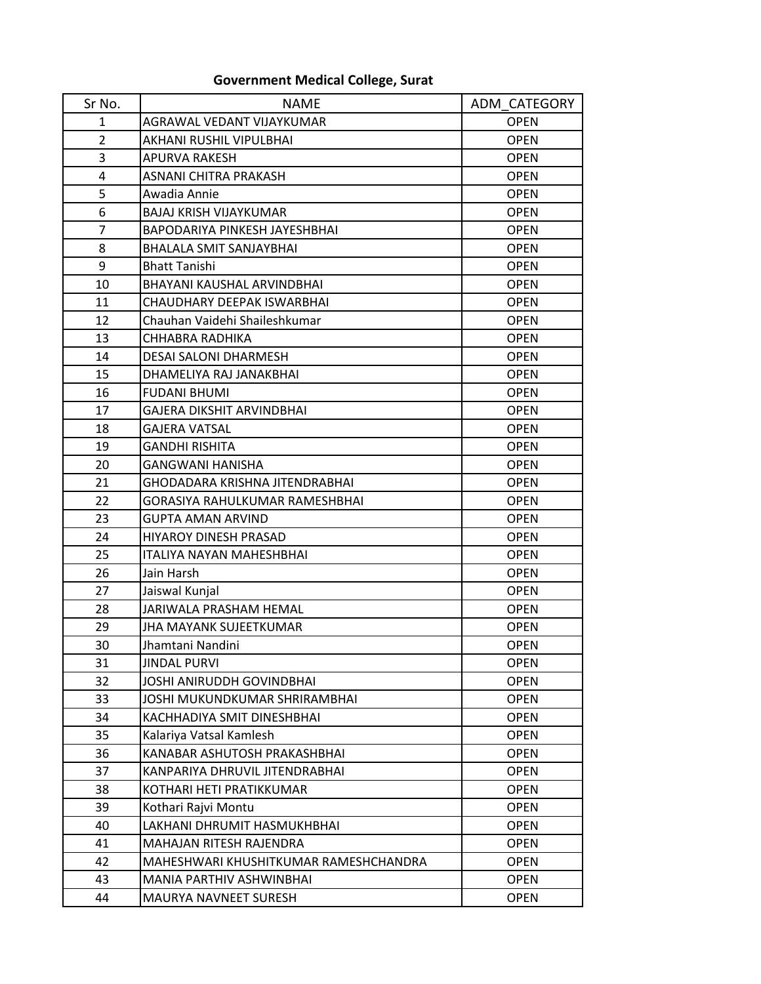## **Government Medical College, Surat**

| Sr No.         | <b>NAME</b>                           | ADM CATEGORY |
|----------------|---------------------------------------|--------------|
| 1              | AGRAWAL VEDANT VIJAYKUMAR             | <b>OPEN</b>  |
| $\overline{2}$ | AKHANI RUSHIL VIPULBHAI               | <b>OPEN</b>  |
| 3              | <b>APURVA RAKESH</b>                  | <b>OPEN</b>  |
| 4              | ASNANI CHITRA PRAKASH                 | <b>OPEN</b>  |
| 5              | Awadia Annie                          | <b>OPEN</b>  |
| 6              | <b>BAJAJ KRISH VIJAYKUMAR</b>         | <b>OPEN</b>  |
| $\overline{7}$ | BAPODARIYA PINKESH JAYESHBHAI         | <b>OPEN</b>  |
| 8              | <b>BHALALA SMIT SANJAYBHAI</b>        | <b>OPEN</b>  |
| 9              | <b>Bhatt Tanishi</b>                  | <b>OPEN</b>  |
| 10             | BHAYANI KAUSHAL ARVINDBHAI            | <b>OPEN</b>  |
| 11             | CHAUDHARY DEEPAK ISWARBHAI            | <b>OPEN</b>  |
| 12             | Chauhan Vaidehi Shaileshkumar         | <b>OPEN</b>  |
| 13             | CHHABRA RADHIKA                       | <b>OPEN</b>  |
| 14             | DESAI SALONI DHARMESH                 | <b>OPEN</b>  |
| 15             | DHAMELIYA RAJ JANAKBHAI               | <b>OPEN</b>  |
| 16             | <b>FUDANI BHUMI</b>                   | <b>OPEN</b>  |
| 17             | GAJERA DIKSHIT ARVINDBHAI             | <b>OPEN</b>  |
| 18             | GAJERA VATSAL                         | <b>OPEN</b>  |
| 19             | GANDHI RISHITA                        | <b>OPEN</b>  |
| 20             | GANGWANI HANISHA                      | <b>OPEN</b>  |
| 21             | GHODADARA KRISHNA JITENDRABHAI        | <b>OPEN</b>  |
| 22             | GORASIYA RAHULKUMAR RAMESHBHAI        | <b>OPEN</b>  |
| 23             | <b>GUPTA AMAN ARVIND</b>              | <b>OPEN</b>  |
| 24             | HIYAROY DINESH PRASAD                 | <b>OPEN</b>  |
| 25             | <b>ITALIYA NAYAN MAHESHBHAI</b>       | <b>OPEN</b>  |
| 26             | Jain Harsh                            | <b>OPEN</b>  |
| 27             | Jaiswal Kunjal                        | <b>OPEN</b>  |
| 28             | JARIWALA PRASHAM HEMAL                | <b>OPEN</b>  |
| 29             | JHA MAYANK SUJEETKUMAR                | <b>OPEN</b>  |
| 30             | Jhamtani Nandini                      | <b>OPEN</b>  |
| 31             | <b>JINDAL PURVI</b>                   | <b>OPEN</b>  |
| 32             | JOSHI ANIRUDDH GOVINDBHAI             | <b>OPEN</b>  |
| 33             | JOSHI MUKUNDKUMAR SHRIRAMBHAI         | <b>OPEN</b>  |
| 34             | KACHHADIYA SMIT DINESHBHAI            | <b>OPEN</b>  |
| 35             | Kalariya Vatsal Kamlesh               | <b>OPEN</b>  |
| 36             | KANABAR ASHUTOSH PRAKASHBHAI          | <b>OPEN</b>  |
| 37             | KANPARIYA DHRUVIL JITENDRABHAI        | <b>OPEN</b>  |
| 38             | KOTHARI HETI PRATIKKUMAR              | <b>OPEN</b>  |
| 39             | Kothari Rajvi Montu                   | <b>OPEN</b>  |
| 40             | LAKHANI DHRUMIT HASMUKHBHAI           | <b>OPEN</b>  |
| 41             | MAHAJAN RITESH RAJENDRA               | <b>OPEN</b>  |
| 42             | MAHESHWARI KHUSHITKUMAR RAMESHCHANDRA | <b>OPEN</b>  |
| 43             | MANIA PARTHIV ASHWINBHAI              | <b>OPEN</b>  |
| 44             | MAURYA NAVNEET SURESH                 | <b>OPEN</b>  |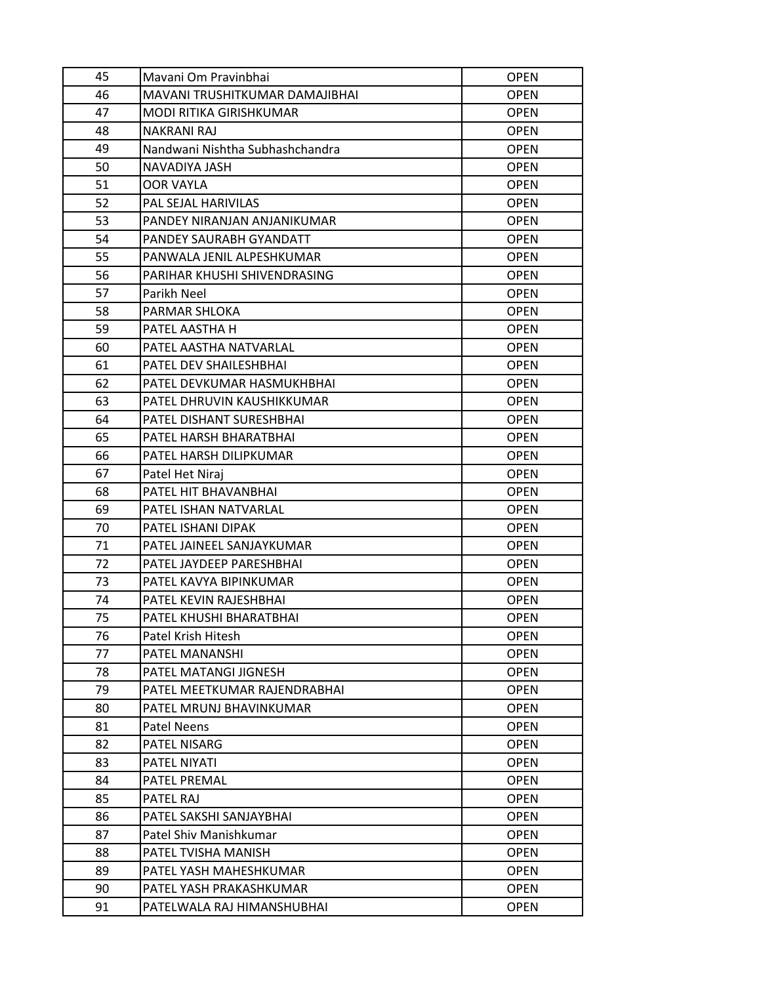| 45 | Mavani Om Pravinbhai            | <b>OPEN</b> |
|----|---------------------------------|-------------|
| 46 | MAVANI TRUSHITKUMAR DAMAJIBHAI  | <b>OPEN</b> |
| 47 | MODI RITIKA GIRISHKUMAR         | <b>OPEN</b> |
| 48 | <b>NAKRANI RAJ</b>              | <b>OPEN</b> |
| 49 | Nandwani Nishtha Subhashchandra | <b>OPEN</b> |
| 50 | NAVADIYA JASH                   | <b>OPEN</b> |
| 51 | <b>OOR VAYLA</b>                | <b>OPEN</b> |
| 52 | <b>PAL SEJAL HARIVILAS</b>      | <b>OPEN</b> |
| 53 | PANDEY NIRANJAN ANJANIKUMAR     | <b>OPEN</b> |
| 54 | PANDEY SAURABH GYANDATT         | <b>OPEN</b> |
| 55 | PANWALA JENIL ALPESHKUMAR       | <b>OPEN</b> |
| 56 | PARIHAR KHUSHI SHIVENDRASING    | <b>OPEN</b> |
| 57 | Parikh Neel                     | <b>OPEN</b> |
| 58 | <b>PARMAR SHLOKA</b>            | <b>OPEN</b> |
| 59 | PATEL AASTHA H                  | <b>OPEN</b> |
| 60 | PATEL AASTHA NATVARLAL          | <b>OPEN</b> |
| 61 | <b>PATEL DEV SHAILESHBHAI</b>   | <b>OPEN</b> |
| 62 | PATEL DEVKUMAR HASMUKHBHAI      | <b>OPEN</b> |
| 63 | PATEL DHRUVIN KAUSHIKKUMAR      | <b>OPEN</b> |
| 64 | PATEL DISHANT SURESHBHAI        | <b>OPEN</b> |
| 65 | PATEL HARSH BHARATBHAI          | <b>OPEN</b> |
| 66 | PATEL HARSH DILIPKUMAR          | <b>OPEN</b> |
| 67 | Patel Het Niraj                 | <b>OPEN</b> |
| 68 | PATEL HIT BHAVANBHAI            | <b>OPEN</b> |
| 69 | PATEL ISHAN NATVARLAL           | <b>OPEN</b> |
| 70 | PATEL ISHANI DIPAK              | <b>OPEN</b> |
| 71 | PATEL JAINEEL SANJAYKUMAR       | <b>OPEN</b> |
| 72 | PATEL JAYDEEP PARESHBHAI        | <b>OPEN</b> |
| 73 | PATEL KAVYA BIPINKUMAR          | <b>OPEN</b> |
| 74 | PATEL KEVIN RAJESHBHAI          | <b>OPEN</b> |
| 75 | PATEL KHUSHI BHARATBHAI         | <b>OPEN</b> |
| 76 | Patel Krish Hitesh              | <b>OPEN</b> |
| 77 | <b>PATEL MANANSHI</b>           | <b>OPEN</b> |
| 78 | PATEL MATANGI JIGNESH           | <b>OPEN</b> |
| 79 | PATEL MEETKUMAR RAJENDRABHAI    | <b>OPEN</b> |
| 80 | PATEL MRUNJ BHAVINKUMAR         | <b>OPEN</b> |
| 81 | <b>Patel Neens</b>              | <b>OPEN</b> |
| 82 | <b>PATEL NISARG</b>             | <b>OPEN</b> |
| 83 | <b>PATEL NIYATI</b>             | <b>OPEN</b> |
| 84 | <b>PATEL PREMAL</b>             | <b>OPEN</b> |
| 85 | <b>PATEL RAJ</b>                | <b>OPEN</b> |
| 86 | PATEL SAKSHI SANJAYBHAI         | <b>OPEN</b> |
| 87 | Patel Shiv Manishkumar          | <b>OPEN</b> |
| 88 | PATEL TVISHA MANISH             | <b>OPEN</b> |
| 89 | PATEL YASH MAHESHKUMAR          | <b>OPEN</b> |
| 90 | PATEL YASH PRAKASHKUMAR         | <b>OPEN</b> |
| 91 | PATELWALA RAJ HIMANSHUBHAI      | <b>OPEN</b> |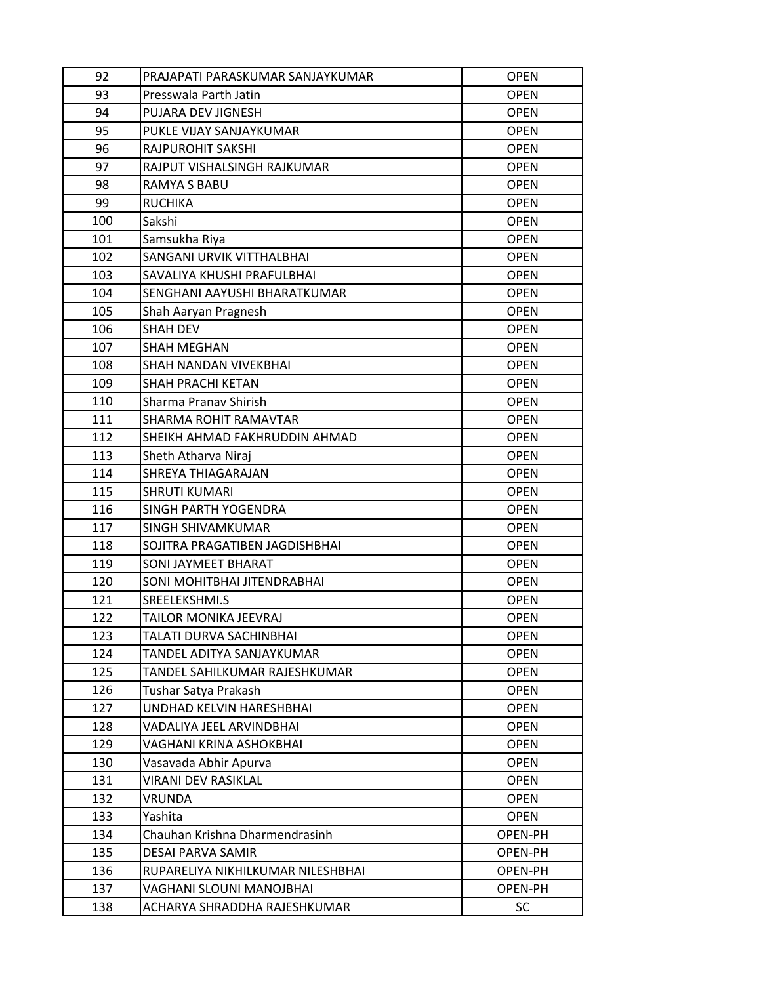| 92  | PRAJAPATI PARASKUMAR SANJAYKUMAR  | <b>OPEN</b> |
|-----|-----------------------------------|-------------|
| 93  | Presswala Parth Jatin             | <b>OPEN</b> |
| 94  | PUJARA DEV JIGNESH                | <b>OPEN</b> |
| 95  | PUKLE VIJAY SANJAYKUMAR           | <b>OPEN</b> |
| 96  | RAJPUROHIT SAKSHI                 | <b>OPEN</b> |
| 97  | RAJPUT VISHALSINGH RAJKUMAR       | <b>OPEN</b> |
| 98  | RAMYA S BABU                      | <b>OPEN</b> |
| 99  | <b>RUCHIKA</b>                    | <b>OPEN</b> |
| 100 | Sakshi                            | <b>OPEN</b> |
| 101 | Samsukha Riya                     | <b>OPEN</b> |
| 102 | SANGANI URVIK VITTHALBHAI         | <b>OPEN</b> |
| 103 | SAVALIYA KHUSHI PRAFULBHAI        | <b>OPEN</b> |
| 104 | SENGHANI AAYUSHI BHARATKUMAR      | <b>OPEN</b> |
| 105 | Shah Aaryan Pragnesh              | <b>OPEN</b> |
| 106 | <b>SHAH DEV</b>                   | <b>OPEN</b> |
| 107 | <b>SHAH MEGHAN</b>                | <b>OPEN</b> |
| 108 | SHAH NANDAN VIVEKBHAI             | <b>OPEN</b> |
| 109 | <b>SHAH PRACHI KETAN</b>          | <b>OPEN</b> |
| 110 | Sharma Pranav Shirish             | <b>OPEN</b> |
| 111 | SHARMA ROHIT RAMAVTAR             | <b>OPEN</b> |
| 112 | SHEIKH AHMAD FAKHRUDDIN AHMAD     | <b>OPEN</b> |
| 113 | Sheth Atharva Niraj               | <b>OPEN</b> |
| 114 | SHREYA THIAGARAJAN                | <b>OPEN</b> |
| 115 | <b>SHRUTI KUMARI</b>              | <b>OPEN</b> |
| 116 | SINGH PARTH YOGENDRA              | <b>OPEN</b> |
| 117 | <b>SINGH SHIVAMKUMAR</b>          | <b>OPEN</b> |
| 118 | SOJITRA PRAGATIBEN JAGDISHBHAI    | <b>OPEN</b> |
| 119 | SONI JAYMEET BHARAT               | <b>OPEN</b> |
| 120 | SONI MOHITBHAI JITENDRABHAI       | <b>OPEN</b> |
| 121 | SREELEKSHMI.S                     | <b>OPEN</b> |
| 122 | TAILOR MONIKA JEEVRAJ             | <b>OPEN</b> |
| 123 | TALATI DURVA SACHINBHAI           | <b>OPEN</b> |
| 124 | TANDEL ADITYA SANJAYKUMAR         | <b>OPEN</b> |
| 125 | TANDEL SAHILKUMAR RAJESHKUMAR     | <b>OPEN</b> |
| 126 | Tushar Satya Prakash              | <b>OPEN</b> |
| 127 | UNDHAD KELVIN HARESHBHAI          | <b>OPEN</b> |
| 128 | VADALIYA JEEL ARVINDBHAI          | <b>OPEN</b> |
| 129 | VAGHANI KRINA ASHOKBHAI           | <b>OPEN</b> |
| 130 | Vasavada Abhir Apurva             | <b>OPEN</b> |
| 131 | <b>VIRANI DEV RASIKLAL</b>        | <b>OPEN</b> |
| 132 | VRUNDA                            | <b>OPEN</b> |
| 133 | Yashita                           | <b>OPEN</b> |
| 134 | Chauhan Krishna Dharmendrasinh    | OPEN-PH     |
| 135 | DESAI PARVA SAMIR                 | OPEN-PH     |
| 136 | RUPARELIYA NIKHILKUMAR NILESHBHAI | OPEN-PH     |
| 137 | VAGHANI SLOUNI MANOJBHAI          | OPEN-PH     |
| 138 | ACHARYA SHRADDHA RAJESHKUMAR      | SC.         |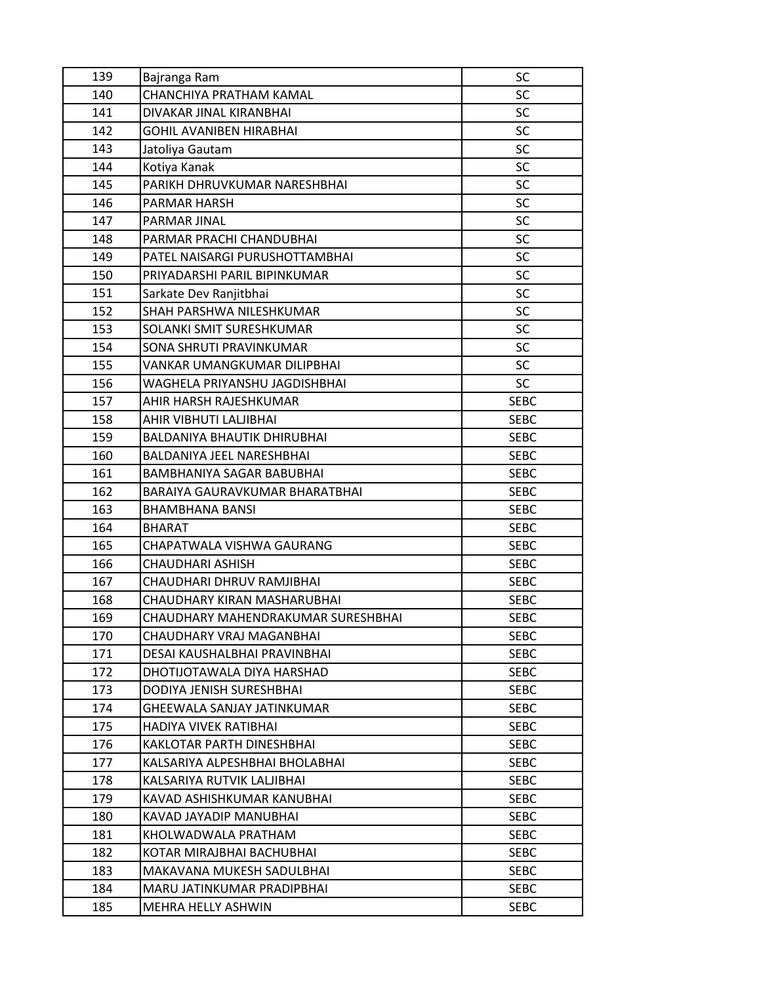| 139 | Bajranga Ram                       | SC          |
|-----|------------------------------------|-------------|
| 140 | CHANCHIYA PRATHAM KAMAL            | <b>SC</b>   |
| 141 | DIVAKAR JINAL KIRANBHAI            | <b>SC</b>   |
| 142 | GOHIL AVANIBEN HIRABHAI            | <b>SC</b>   |
| 143 | Jatoliya Gautam                    | <b>SC</b>   |
| 144 | Kotiya Kanak                       | <b>SC</b>   |
| 145 | PARIKH DHRUVKUMAR NARESHBHAI       | <b>SC</b>   |
| 146 | PARMAR HARSH                       | <b>SC</b>   |
| 147 | PARMAR JINAL                       | <b>SC</b>   |
| 148 | PARMAR PRACHI CHANDUBHAI           | <b>SC</b>   |
| 149 | PATEL NAISARGI PURUSHOTTAMBHAI     | <b>SC</b>   |
| 150 | PRIYADARSHI PARIL BIPINKUMAR       | <b>SC</b>   |
| 151 | Sarkate Dev Ranjitbhai             | <b>SC</b>   |
| 152 | SHAH PARSHWA NILESHKUMAR           | <b>SC</b>   |
| 153 | SOLANKI SMIT SURESHKUMAR           | SC          |
| 154 | SONA SHRUTI PRAVINKUMAR            | <b>SC</b>   |
| 155 | VANKAR UMANGKUMAR DILIPBHAI        | <b>SC</b>   |
| 156 | WAGHELA PRIYANSHU JAGDISHBHAI      | <b>SC</b>   |
| 157 | AHIR HARSH RAJESHKUMAR             | <b>SEBC</b> |
| 158 | AHIR VIBHUTI LALJIBHAI             | <b>SEBC</b> |
| 159 | <b>BALDANIYA BHAUTIK DHIRUBHAI</b> | <b>SEBC</b> |
| 160 | BALDANIYA JEEL NARESHBHAI          | <b>SEBC</b> |
| 161 | BAMBHANIYA SAGAR BABUBHAI          | <b>SEBC</b> |
| 162 | BARAIYA GAURAVKUMAR BHARATBHAI     | <b>SEBC</b> |
| 163 | BHAMBHANA BANSI                    | <b>SEBC</b> |
| 164 | <b>BHARAT</b>                      | <b>SEBC</b> |
| 165 | CHAPATWALA VISHWA GAURANG          | <b>SEBC</b> |
| 166 | CHAUDHARI ASHISH                   | <b>SEBC</b> |
| 167 | CHAUDHARI DHRUV RAMJIBHAI          | <b>SEBC</b> |
| 168 | CHAUDHARY KIRAN MASHARUBHAI        | <b>SEBC</b> |
| 169 | CHAUDHARY MAHENDRAKUMAR SURESHBHAI | <b>SEBC</b> |
| 170 | CHAUDHARY VRAJ MAGANBHAI           | <b>SEBC</b> |
| 171 | DESAI KAUSHALBHAI PRAVINBHAI       | <b>SEBC</b> |
| 172 | DHOTIJOTAWALA DIYA HARSHAD         | <b>SEBC</b> |
| 173 | DODIYA JENISH SURESHBHAI           | <b>SEBC</b> |
| 174 | GHEEWALA SANJAY JATINKUMAR         | <b>SEBC</b> |
| 175 | HADIYA VIVEK RATIBHAI              | <b>SEBC</b> |
| 176 | <b>KAKLOTAR PARTH DINESHBHAI</b>   | <b>SEBC</b> |
| 177 | KALSARIYA ALPESHBHAI BHOLABHAI     | <b>SEBC</b> |
| 178 | KALSARIYA RUTVIK LALJIBHAI         | <b>SEBC</b> |
| 179 | KAVAD ASHISHKUMAR KANUBHAI         | <b>SEBC</b> |
| 180 | KAVAD JAYADIP MANUBHAI             | <b>SEBC</b> |
| 181 | KHOLWADWALA PRATHAM                | <b>SEBC</b> |
| 182 | KOTAR MIRAJBHAI BACHUBHAI          | <b>SEBC</b> |
| 183 | MAKAVANA MUKESH SADULBHAI          | <b>SEBC</b> |
| 184 | MARU JATINKUMAR PRADIPBHAI         | <b>SEBC</b> |
| 185 | MEHRA HELLY ASHWIN                 | <b>SEBC</b> |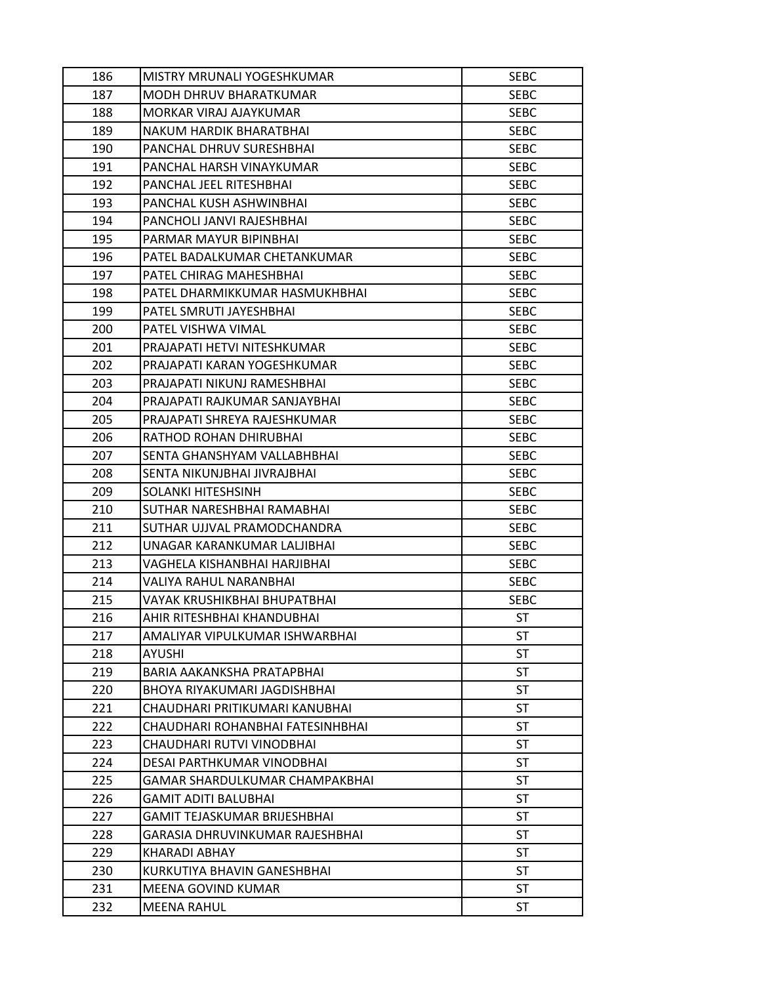| 186 | MISTRY MRUNALI YOGESHKUMAR            | <b>SEBC</b> |
|-----|---------------------------------------|-------------|
| 187 | MODH DHRUV BHARATKUMAR                | <b>SEBC</b> |
| 188 | MORKAR VIRAJ AJAYKUMAR                | <b>SEBC</b> |
| 189 | NAKUM HARDIK BHARATBHAI               | <b>SEBC</b> |
| 190 | PANCHAL DHRUV SURESHBHAI              | <b>SEBC</b> |
| 191 | PANCHAL HARSH VINAYKUMAR              | <b>SEBC</b> |
| 192 | PANCHAL JEEL RITESHBHAI               | <b>SEBC</b> |
| 193 | PANCHAL KUSH ASHWINBHAI               | <b>SEBC</b> |
| 194 | PANCHOLI JANVI RAJESHBHAI             | <b>SEBC</b> |
| 195 | PARMAR MAYUR BIPINBHAI                | <b>SEBC</b> |
| 196 | PATEL BADALKUMAR CHETANKUMAR          | <b>SEBC</b> |
| 197 | PATEL CHIRAG MAHESHBHAI               | <b>SEBC</b> |
| 198 | PATEL DHARMIKKUMAR HASMUKHBHAI        | <b>SEBC</b> |
| 199 | PATEL SMRUTI JAYESHBHAI               | <b>SEBC</b> |
| 200 | PATEL VISHWA VIMAL                    | <b>SEBC</b> |
| 201 | PRAJAPATI HETVI NITESHKUMAR           | <b>SEBC</b> |
| 202 | PRAJAPATI KARAN YOGESHKUMAR           | <b>SEBC</b> |
| 203 | PRAJAPATI NIKUNJ RAMESHBHAI           | <b>SEBC</b> |
| 204 | PRAJAPATI RAJKUMAR SANJAYBHAI         | <b>SEBC</b> |
| 205 | PRAJAPATI SHREYA RAJESHKUMAR          | <b>SEBC</b> |
| 206 | RATHOD ROHAN DHIRUBHAI                | <b>SEBC</b> |
| 207 | SENTA GHANSHYAM VALLABHBHAI           | <b>SEBC</b> |
| 208 | SENTA NIKUNJBHAI JIVRAJBHAI           | <b>SEBC</b> |
| 209 | SOLANKI HITESHSINH                    | <b>SEBC</b> |
| 210 | SUTHAR NARESHBHAI RAMABHAI            | <b>SEBC</b> |
| 211 | SUTHAR UJJVAL PRAMODCHANDRA           | <b>SEBC</b> |
| 212 | UNAGAR KARANKUMAR LALJIBHAI           | <b>SEBC</b> |
| 213 | VAGHELA KISHANBHAI HARJIBHAI          | <b>SEBC</b> |
| 214 | VALIYA RAHUL NARANBHAI                | <b>SEBC</b> |
| 215 | VAYAK KRUSHIKBHAI BHUPATBHAI          | <b>SEBC</b> |
| 216 | AHIR RITESHBHAI KHANDUBHAI            | <b>ST</b>   |
| 217 | AMALIYAR VIPULKUMAR ISHWARBHAI        | <b>ST</b>   |
| 218 | AYUSHI                                | <b>ST</b>   |
| 219 | BARIA AAKANKSHA PRATAPBHAI            | <b>ST</b>   |
| 220 | BHOYA RIYAKUMARI JAGDISHBHAI          | ST          |
| 221 | CHAUDHARI PRITIKUMARI KANUBHAI        | ST          |
| 222 | CHAUDHARI ROHANBHAI FATESINHBHAI      | <b>ST</b>   |
| 223 | CHAUDHARI RUTVI VINODBHAI             | <b>ST</b>   |
| 224 | DESAI PARTHKUMAR VINODBHAI            | ST          |
| 225 | <b>GAMAR SHARDULKUMAR CHAMPAKBHAI</b> | <b>ST</b>   |
| 226 | GAMIT ADITI BALUBHAI                  | <b>ST</b>   |
| 227 | GAMIT TEJASKUMAR BRIJESHBHAI          | ST          |
| 228 | GARASIA DHRUVINKUMAR RAJESHBHAI       | <b>ST</b>   |
| 229 | KHARADI ABHAY                         | ST          |
| 230 | KURKUTIYA BHAVIN GANESHBHAI           | ST          |
| 231 | MEENA GOVIND KUMAR                    | <b>ST</b>   |
| 232 | <b>MEENA RAHUL</b>                    | <b>ST</b>   |